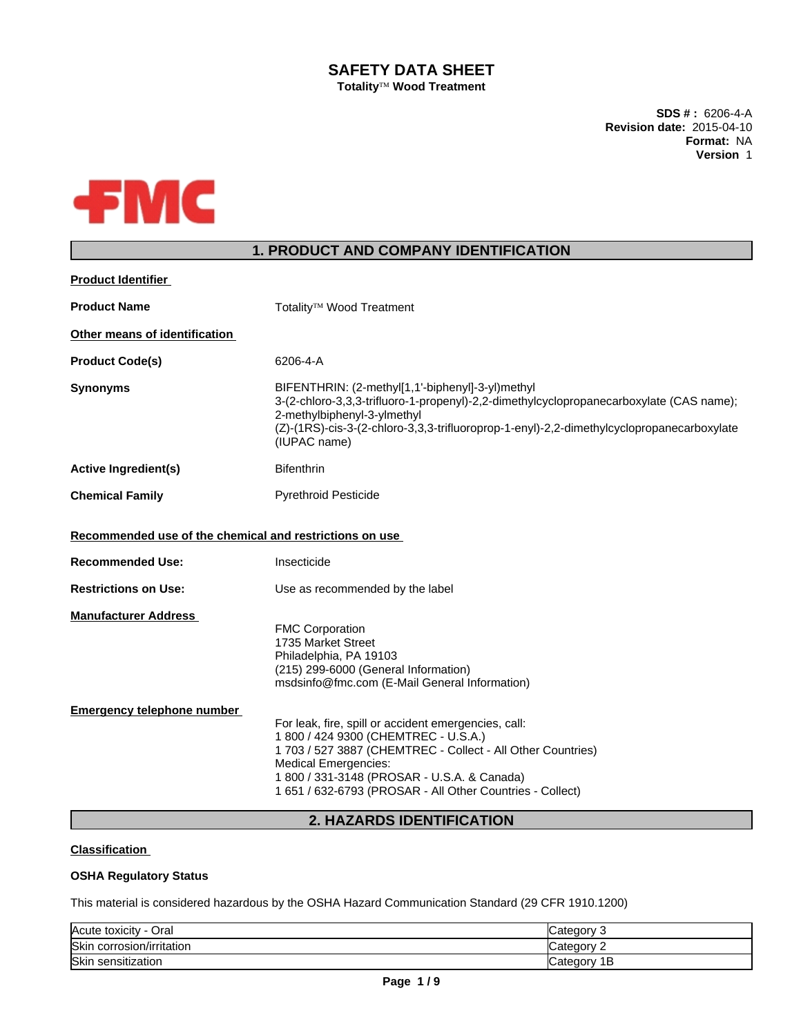## **SAFETY DATA SHEET Totality<sup>™</sup> Wood Treatment**

**SDS # :** 6206-4-A **Revision date:** 2015-04-10 **Format:** NA **Version** 1



# **1. PRODUCT AND COMPANY IDENTIFICATION**

| Totality <sup>™</sup> Wood Treatment                                                                                                                                                                                                                                                                                                                                                                                                                                      |
|---------------------------------------------------------------------------------------------------------------------------------------------------------------------------------------------------------------------------------------------------------------------------------------------------------------------------------------------------------------------------------------------------------------------------------------------------------------------------|
|                                                                                                                                                                                                                                                                                                                                                                                                                                                                           |
| 6206-4-A                                                                                                                                                                                                                                                                                                                                                                                                                                                                  |
| BIFENTHRIN: (2-methyl[1,1'-biphenyl]-3-yl)methyl<br>3-(2-chloro-3,3,3-trifluoro-1-propenyl)-2,2-dimethylcyclopropanecarboxylate (CAS name);<br>2-methylbiphenyl-3-ylmethyl<br>(Z)-(1RS)-cis-3-(2-chloro-3,3,3-trifluoroprop-1-enyl)-2,2-dimethylcyclopropanecarboxylate<br>(IUPAC name)                                                                                                                                                                                   |
| <b>Bifenthrin</b>                                                                                                                                                                                                                                                                                                                                                                                                                                                         |
| <b>Pyrethroid Pesticide</b>                                                                                                                                                                                                                                                                                                                                                                                                                                               |
| Recommended use of the chemical and restrictions on use                                                                                                                                                                                                                                                                                                                                                                                                                   |
| Insecticide                                                                                                                                                                                                                                                                                                                                                                                                                                                               |
| Use as recommended by the label                                                                                                                                                                                                                                                                                                                                                                                                                                           |
| <b>FMC Corporation</b><br>1735 Market Street<br>Philadelphia, PA 19103<br>(215) 299-6000 (General Information)<br>msdsinfo@fmc.com (E-Mail General Information)<br>For leak, fire, spill or accident emergencies, call:<br>1 800 / 424 9300 (CHEMTREC - U.S.A.)<br>1 703 / 527 3887 (CHEMTREC - Collect - All Other Countries)<br><b>Medical Emergencies:</b><br>1 800 / 331-3148 (PROSAR - U.S.A. & Canada)<br>1 651 / 632-6793 (PROSAR - All Other Countries - Collect) |
|                                                                                                                                                                                                                                                                                                                                                                                                                                                                           |

## **2. HAZARDS IDENTIFICATION**

## **Classification**

## **OSHA Regulatory Status**

This material is considered hazardous by the OSHA Hazard Communication Standard (29 CFR 1910.1200)

| - Oral<br>Acute toxicity  | ∵ategoryٽ<br>w  |
|---------------------------|-----------------|
| Skin corrosion/irritation | Category<br>-   |
| Skin sensitization        | 1B<br>∵ategorvٽ |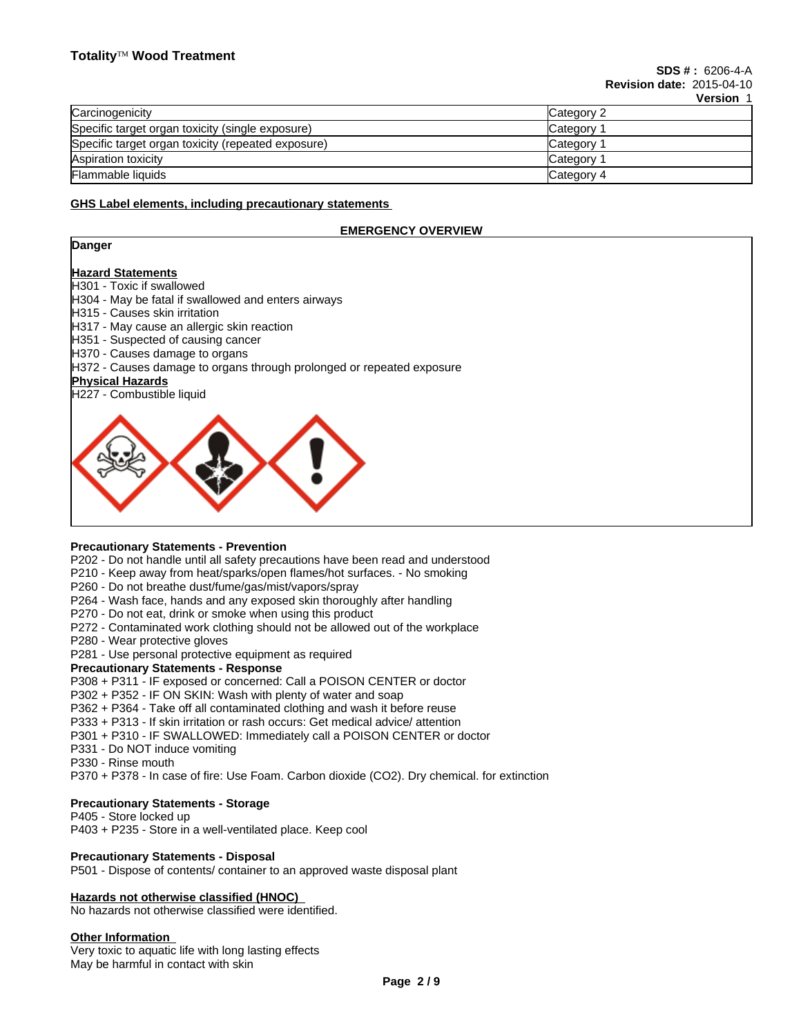|                                                    | VEI SIVII  |
|----------------------------------------------------|------------|
| Carcinogenicity                                    | Category 2 |
| Specific target organ toxicity (single exposure)   | Category   |
| Specific target organ toxicity (repeated exposure) | Category   |
| Aspiration toxicity                                | Category   |
| Flammable liquids                                  | Category 4 |

## **GHS Label elements, including precautionary statements**

## **EMERGENCY OVERVIEW**

## **Danger**

## **Hazard Statements**

H301 - Toxic if swallowed

- H304 May be fatal if swallowed and enters airways
- H315 Causes skin irritation
- H317 May cause an allergic skin reaction
- H351 Suspected of causing cancer
- H370 Causes damage to organs
- H372 Causes damage to organs through prolonged or repeated exposure

## **Physical Hazards**

H227 - Combustible liquid



## **Precautionary Statements - Prevention**

P202 - Do not handle until all safety precautions have been read and understood

- P210 Keep away from heat/sparks/open flames/hot surfaces. No smoking
- P260 Do not breathe dust/fume/gas/mist/vapors/spray
- P264 Wash face, hands and any exposed skin thoroughly after handling
- P270 Do not eat, drink or smoke when using this product
- P272 Contaminated work clothing should not be allowed out of the workplace
- P280 Wear protective gloves

P281 - Use personal protective equipment as required

#### **Precautionary Statements - Response**

P308 + P311 - IF exposed or concerned: Call a POISON CENTER or doctor

- P302 + P352 IF ON SKIN: Wash with plenty of water and soap
- P362 + P364 Take off all contaminated clothing and wash it before reuse
- P333 + P313 If skin irritation or rash occurs: Get medical advice/ attention
- P301 + P310 IF SWALLOWED: Immediately call a POISON CENTER or doctor
- P331 Do NOT induce vomiting
- P330 Rinse mouth

P370 + P378 - In case of fire: Use Foam. Carbon dioxide (CO2). Dry chemical. for extinction

### **Precautionary Statements - Storage**

P405 - Store locked up

P403 + P235 - Store in a well-ventilated place. Keep cool

#### **Precautionary Statements - Disposal**

P501 - Dispose of contents/ container to an approved waste disposal plant

### **Hazards not otherwise classified (HNOC)**

No hazards not otherwise classified were identified.

#### **Other Information**

Very toxic to aquatic life with long lasting effects May be harmful in contact with skin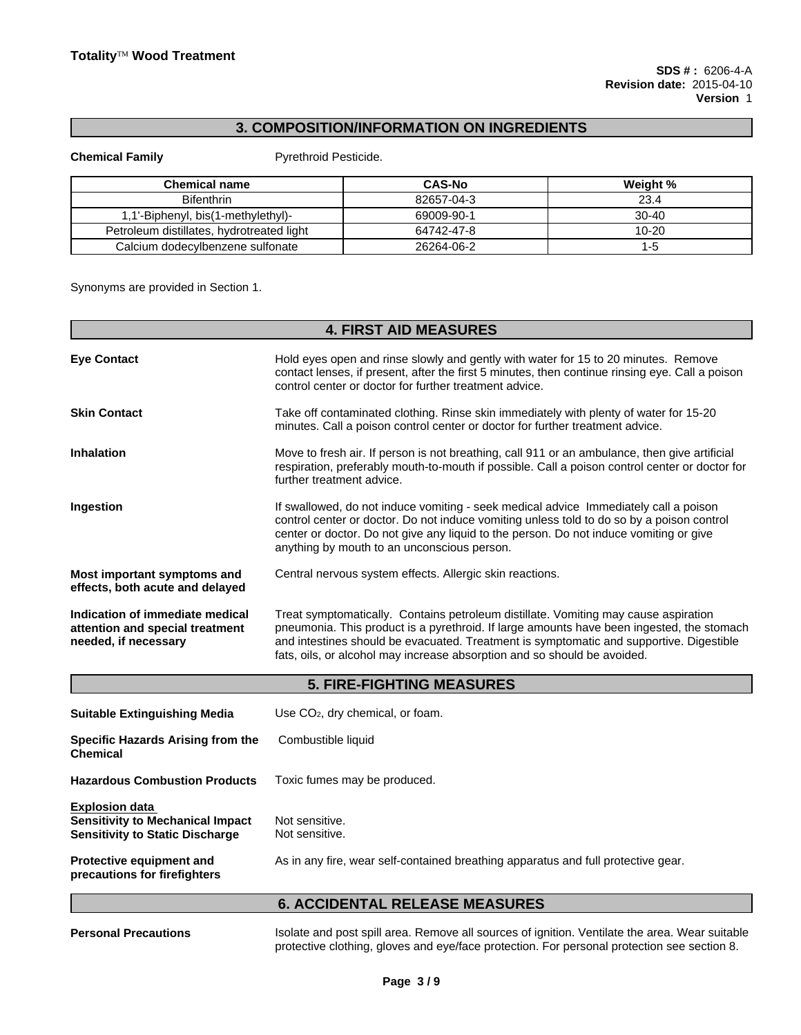## **3. COMPOSITION/INFORMATION ON INGREDIENTS**

**Chemical Family** Pyrethroid Pesticide.

| <b>Chemical name</b>                      | <b>CAS-No</b> | Weight %  |
|-------------------------------------------|---------------|-----------|
| <b>Bifenthrin</b>                         | 82657-04-3    | 23.4      |
| 1,1'-Biphenyl, bis(1-methylethyl)-        | 69009-90-1    | 30-40     |
| Petroleum distillates, hydrotreated light | 64742-47-8    | $10 - 20$ |
| Calcium dodecylbenzene sulfonate          | 26264-06-2    | 1-5       |

Synonyms are provided in Section 1.

|                                                                                            | <b>4. FIRST AID MEASURES</b>                                                                                                                                                                                                                                                                                                                            |
|--------------------------------------------------------------------------------------------|---------------------------------------------------------------------------------------------------------------------------------------------------------------------------------------------------------------------------------------------------------------------------------------------------------------------------------------------------------|
| <b>Eye Contact</b>                                                                         | Hold eyes open and rinse slowly and gently with water for 15 to 20 minutes. Remove<br>contact lenses, if present, after the first 5 minutes, then continue rinsing eye. Call a poison<br>control center or doctor for further treatment advice.                                                                                                         |
| <b>Skin Contact</b>                                                                        | Take off contaminated clothing. Rinse skin immediately with plenty of water for 15-20<br>minutes. Call a poison control center or doctor for further treatment advice.                                                                                                                                                                                  |
| <b>Inhalation</b>                                                                          | Move to fresh air. If person is not breathing, call 911 or an ambulance, then give artificial<br>respiration, preferably mouth-to-mouth if possible. Call a poison control center or doctor for<br>further treatment advice.                                                                                                                            |
| Ingestion                                                                                  | If swallowed, do not induce vomiting - seek medical advice Immediately call a poison<br>control center or doctor. Do not induce vomiting unless told to do so by a poison control<br>center or doctor. Do not give any liquid to the person. Do not induce vomiting or give<br>anything by mouth to an unconscious person.                              |
| Most important symptoms and<br>effects, both acute and delayed                             | Central nervous system effects. Allergic skin reactions.                                                                                                                                                                                                                                                                                                |
| Indication of immediate medical<br>attention and special treatment<br>needed, if necessary | Treat symptomatically. Contains petroleum distillate. Vomiting may cause aspiration<br>pneumonia. This product is a pyrethroid. If large amounts have been ingested, the stomach<br>and intestines should be evacuated. Treatment is symptomatic and supportive. Digestible<br>fats, oils, or alcohol may increase absorption and so should be avoided. |
|                                                                                            | <b>5. FIRE-FIGHTING MEASURES</b>                                                                                                                                                                                                                                                                                                                        |
| <b>Suitable Extinguishing Media</b>                                                        | Use CO <sub>2</sub> , dry chemical, or foam.                                                                                                                                                                                                                                                                                                            |
| Specific Hazards Arising from the<br><b>Chemical</b>                                       | Combustible liquid                                                                                                                                                                                                                                                                                                                                      |
| <b>Hazardous Combustion Products</b>                                                       | Toxic fumes may be produced.                                                                                                                                                                                                                                                                                                                            |

**Explosion data Sensitivity to Mechanical Impact** Not sensitive.<br>**Sensitivity to Static Discharge** Not sensitive. **Sensitivity to Static Discharge** 

As in any fire, wear self-contained breathing apparatus and full protective gear.

## **6. ACCIDENTAL RELEASE MEASURES**

**Protective equipment and precautions for firefighters**

Personal Precautions **Inter and post spill area. Remove all sources of ignition. Ventilate the area. Wear suitable** protective clothing, gloves and eye/face protection. For personal protection see section 8.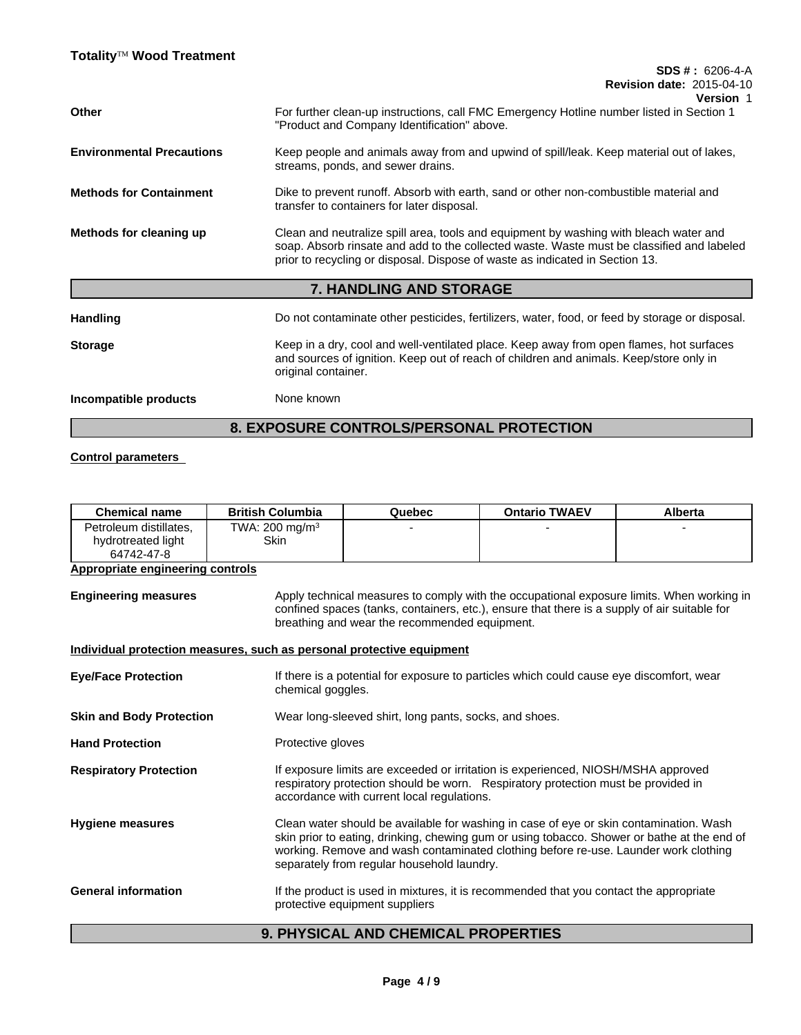|                                  | <b>SDS #: 6206-4-A</b>                                                                                                                                                                                                                                             |
|----------------------------------|--------------------------------------------------------------------------------------------------------------------------------------------------------------------------------------------------------------------------------------------------------------------|
|                                  | <b>Revision date: 2015-04-10</b><br><b>Version 1</b>                                                                                                                                                                                                               |
| <b>Other</b>                     | For further clean-up instructions, call FMC Emergency Hotline number listed in Section 1<br>"Product and Company Identification" above.                                                                                                                            |
| <b>Environmental Precautions</b> | Keep people and animals away from and upwind of spill/leak. Keep material out of lakes,<br>streams, ponds, and sewer drains.                                                                                                                                       |
| <b>Methods for Containment</b>   | Dike to prevent runoff. Absorb with earth, sand or other non-combustible material and<br>transfer to containers for later disposal.                                                                                                                                |
| Methods for cleaning up          | Clean and neutralize spill area, tools and equipment by washing with bleach water and<br>soap. Absorb rinsate and add to the collected waste. Waste must be classified and labeled<br>prior to recycling or disposal. Dispose of waste as indicated in Section 13. |
|                                  | 7. HANDLING AND STORAGE                                                                                                                                                                                                                                            |
| <b>Handling</b>                  | Do not contaminate other pesticides, fertilizers, water, food, or feed by storage or disposal.                                                                                                                                                                     |
| <b>Storage</b>                   | Keep in a dry, cool and well-ventilated place. Keep away from open flames, hot surfaces<br>and sources of ignition. Keep out of reach of children and animals. Keep/store only in<br>original container.                                                           |

**Incompatible products** None known

# **8. EXPOSURE CONTROLS/PERSONAL PROTECTION**

## **Control parameters**

| <b>Chemical name</b>                                       | <b>British Columbia</b>           | Quebec | <b>Ontario TWAEV</b> | Alberta |
|------------------------------------------------------------|-----------------------------------|--------|----------------------|---------|
| Petroleum distillates,<br>hydrotreated light<br>64742-47-8 | TWA: $200 \text{ mg/m}^3$<br>Skin |        |                      |         |
| <b>Appropriate engineering controls</b>                    |                                   |        |                      |         |

**Engineering measures** Apply technical measures to comply with the occupational exposure limits. When working in confined spaces (tanks, containers, etc.), ensure that there is a supply of air suitable for breathing and wear the recommended equipment.

## **Individual protection measures, such as personal protective equipment**

| If there is a potential for exposure to particles which could cause eye discomfort, wear<br>chemical goggles.<br>Wear long-sleeved shirt, long pants, socks, and shoes.<br>Protective gloves<br>If exposure limits are exceeded or irritation is experienced, NIOSH/MSHA approved<br>respiratory protection should be worn. Respiratory protection must be provided in<br>accordance with current local regulations.<br>Clean water should be available for washing in case of eye or skin contamination. Wash<br>skin prior to eating, drinking, chewing gum or using tobacco. Shower or bathe at the end of<br>working. Remove and wash contaminated clothing before re-use. Launder work clothing<br>separately from regular household laundry.<br>If the product is used in mixtures, it is recommended that you contact the appropriate<br>protective equipment suppliers |                                 |  |
|--------------------------------------------------------------------------------------------------------------------------------------------------------------------------------------------------------------------------------------------------------------------------------------------------------------------------------------------------------------------------------------------------------------------------------------------------------------------------------------------------------------------------------------------------------------------------------------------------------------------------------------------------------------------------------------------------------------------------------------------------------------------------------------------------------------------------------------------------------------------------------|---------------------------------|--|
|                                                                                                                                                                                                                                                                                                                                                                                                                                                                                                                                                                                                                                                                                                                                                                                                                                                                                | <b>Eye/Face Protection</b>      |  |
|                                                                                                                                                                                                                                                                                                                                                                                                                                                                                                                                                                                                                                                                                                                                                                                                                                                                                | <b>Skin and Body Protection</b> |  |
|                                                                                                                                                                                                                                                                                                                                                                                                                                                                                                                                                                                                                                                                                                                                                                                                                                                                                | <b>Hand Protection</b>          |  |
|                                                                                                                                                                                                                                                                                                                                                                                                                                                                                                                                                                                                                                                                                                                                                                                                                                                                                | <b>Respiratory Protection</b>   |  |
|                                                                                                                                                                                                                                                                                                                                                                                                                                                                                                                                                                                                                                                                                                                                                                                                                                                                                | <b>Hygiene measures</b>         |  |
|                                                                                                                                                                                                                                                                                                                                                                                                                                                                                                                                                                                                                                                                                                                                                                                                                                                                                | <b>General information</b>      |  |

# **9. PHYSICAL AND CHEMICAL PROPERTIES**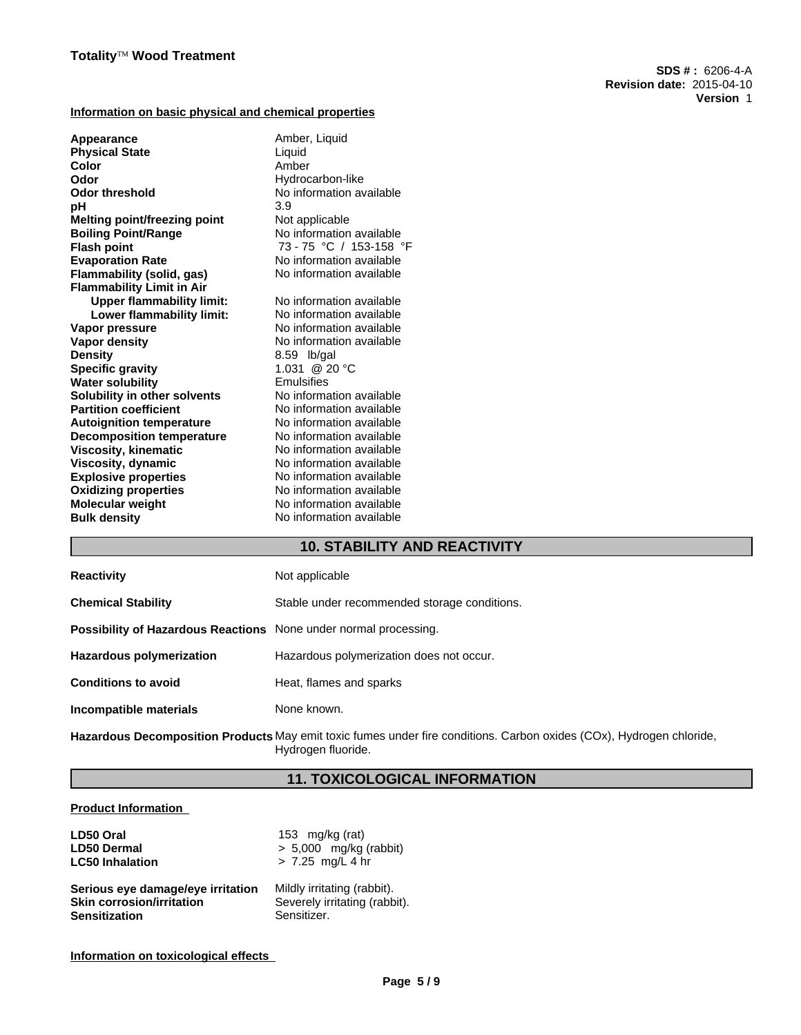## **Information on basic physical and chemical properties**

| Appearance                          | Amber, Liquid            |
|-------------------------------------|--------------------------|
| <b>Physical State</b>               | Liquid                   |
| Color                               | Amber                    |
| Odor                                | Hydrocarbon-like         |
| <b>Odor threshold</b>               | No information available |
| рH                                  | 3.9                      |
| <b>Melting point/freezing point</b> | Not applicable           |
| <b>Boiling Point/Range</b>          | No information available |
| <b>Flash point</b>                  | 73 - 75 °C / 153-158 °F  |
| <b>Evaporation Rate</b>             | No information available |
| <b>Flammability (solid, gas)</b>    | No information available |
| <b>Flammability Limit in Air</b>    |                          |
| <b>Upper flammability limit:</b>    | No information available |
| Lower flammability limit:           | No information available |
| Vapor pressure                      | No information available |
| Vapor density                       | No information available |
| <b>Density</b>                      | 8.59 lb/gal              |
| <b>Specific gravity</b>             | 1.031 @ 20 °C            |
| <b>Water solubility</b>             | Emulsifies               |
| Solubility in other solvents        | No information available |
| <b>Partition coefficient</b>        | No information available |
| <b>Autoignition temperature</b>     | No information available |
| <b>Decomposition temperature</b>    | No information available |
| <b>Viscosity, kinematic</b>         | No information available |
| Viscosity, dynamic                  | No information available |
| <b>Explosive properties</b>         | No information available |
| <b>Oxidizing properties</b>         | No information available |
| <b>Molecular weight</b>             | No information available |
| <b>Bulk density</b>                 | No information available |
|                                     |                          |

# **10. STABILITY AND REACTIVITY**

| <b>Reactivity</b>                                                       | Not applicable                               |
|-------------------------------------------------------------------------|----------------------------------------------|
| <b>Chemical Stability</b>                                               | Stable under recommended storage conditions. |
| <b>Possibility of Hazardous Reactions</b> None under normal processing. |                                              |
| <b>Hazardous polymerization</b>                                         | Hazardous polymerization does not occur.     |
| <b>Conditions to avoid</b>                                              | Heat, flames and sparks                      |
| Incompatible materials                                                  | None known.                                  |

**Hazardous Decomposition Products** May emit toxic fumes under fire conditions. Carbon oxides (COx), Hydrogen chloride, Hydrogen fluoride.

# **11. TOXICOLOGICAL INFORMATION**

## **Product Information**

| LD50 Oral                         | 153 mg/kg (rat)               |
|-----------------------------------|-------------------------------|
| <b>LD50 Dermal</b>                | $> 5,000$ mg/kg (rabbit)      |
| <b>LC50 Inhalation</b>            | > 7.25 mg/L 4 hr              |
| Serious eye damage/eye irritation | Mildly irritating (rabbit).   |
| <b>Skin corrosion/irritation</b>  | Severely irritating (rabbit). |
| <b>Sensitization</b>              | Sensitizer.                   |

**Information on toxicological effects**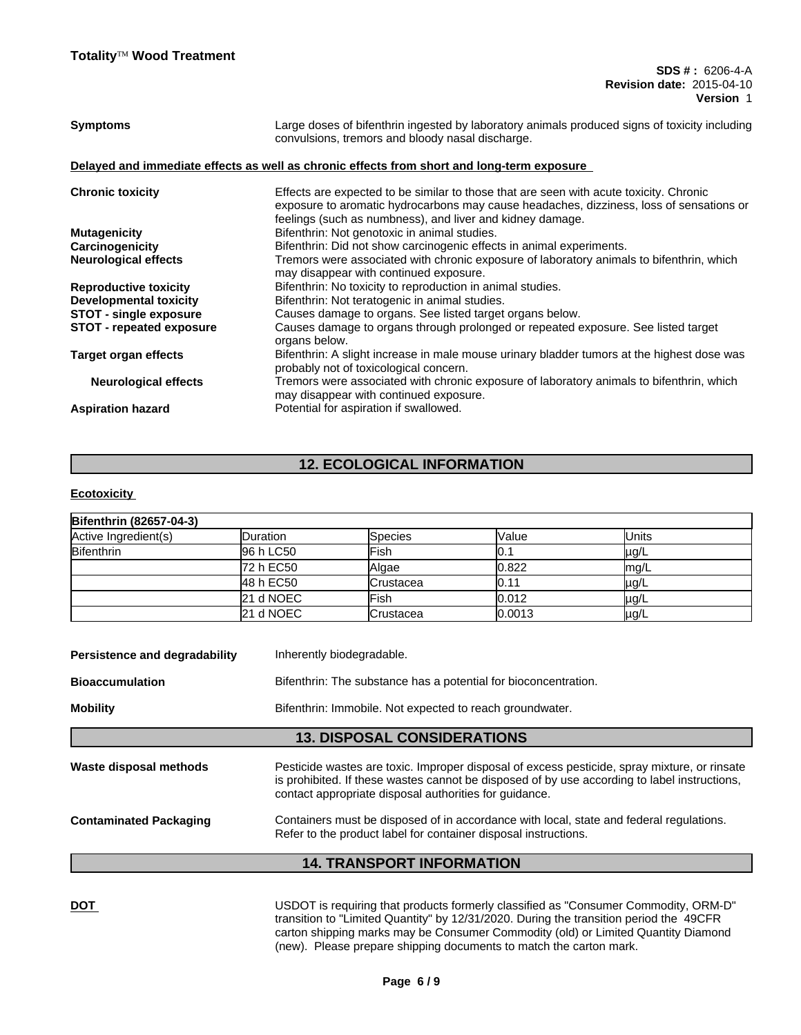| <b>Symptoms</b>                 | Large doses of bifenthrin ingested by laboratory animals produced signs of toxicity including<br>convulsions, tremors and bloody nasal discharge.                                                                                              |
|---------------------------------|------------------------------------------------------------------------------------------------------------------------------------------------------------------------------------------------------------------------------------------------|
|                                 | Delayed and immediate effects as well as chronic effects from short and long-term exposure                                                                                                                                                     |
| <b>Chronic toxicity</b>         | Effects are expected to be similar to those that are seen with acute toxicity. Chronic<br>exposure to aromatic hydrocarbons may cause headaches, dizziness, loss of sensations or<br>feelings (such as numbness), and liver and kidney damage. |
| <b>Mutagenicity</b>             | Bifenthrin: Not genotoxic in animal studies.                                                                                                                                                                                                   |
| Carcinogenicity                 | Bifenthrin: Did not show carcinogenic effects in animal experiments.                                                                                                                                                                           |
| <b>Neurological effects</b>     | Tremors were associated with chronic exposure of laboratory animals to bifenthrin, which<br>may disappear with continued exposure.                                                                                                             |
| <b>Reproductive toxicity</b>    | Bifenthrin: No toxicity to reproduction in animal studies.                                                                                                                                                                                     |
| <b>Developmental toxicity</b>   | Bifenthrin: Not teratogenic in animal studies.                                                                                                                                                                                                 |
| <b>STOT - single exposure</b>   | Causes damage to organs. See listed target organs below.                                                                                                                                                                                       |
| <b>STOT - repeated exposure</b> | Causes damage to organs through prolonged or repeated exposure. See listed target<br>organs below.                                                                                                                                             |
| Target organ effects            | Bifenthrin: A slight increase in male mouse urinary bladder tumors at the highest dose was<br>probably not of toxicological concern.                                                                                                           |
| <b>Neurological effects</b>     | Tremors were associated with chronic exposure of laboratory animals to bifenthrin, which<br>may disappear with continued exposure.                                                                                                             |
| <b>Aspiration hazard</b>        | Potential for aspiration if swallowed.                                                                                                                                                                                                         |
|                                 |                                                                                                                                                                                                                                                |

# **12. ECOLOGICAL INFORMATION**

## **Ecotoxicity**

| <b>Bifenthrin (82657-04-3)</b> |                  |                  |        |               |  |
|--------------------------------|------------------|------------------|--------|---------------|--|
| Active Ingredient(s)           | <b>IDuration</b> | Species          | Value  | <b>IUnits</b> |  |
| <b>Bifenthrin</b>              | 96 h LC50        | Fish             | ו ט    | µg/L          |  |
|                                | 72 h EC50        | Algae            | 0.822  | Imq/L         |  |
|                                | 48 h EC50        | Crustacea        | IO.11  | µg/L          |  |
|                                | 21 d NOEC        | <b>Fish</b>      | 0.012  | µg/L          |  |
|                                | 21 d NOEC        | <b>Crustacea</b> | 0.0013 | µg/L          |  |

|                                                                                           | <b>14. TRANSPORT INFORMATION</b>                                                                                                                                                                                                                       |  |  |  |  |
|-------------------------------------------------------------------------------------------|--------------------------------------------------------------------------------------------------------------------------------------------------------------------------------------------------------------------------------------------------------|--|--|--|--|
| <b>Contaminated Packaging</b>                                                             | Containers must be disposed of in accordance with local, state and federal regulations.<br>Refer to the product label for container disposal instructions.                                                                                             |  |  |  |  |
| Waste disposal methods                                                                    | Pesticide wastes are toxic. Improper disposal of excess pesticide, spray mixture, or rinsate<br>is prohibited. If these wastes cannot be disposed of by use according to label instructions,<br>contact appropriate disposal authorities for guidance. |  |  |  |  |
|                                                                                           | <b>13. DISPOSAL CONSIDERATIONS</b>                                                                                                                                                                                                                     |  |  |  |  |
| <b>Mobility</b>                                                                           | Bifenthrin: Immobile. Not expected to reach groundwater.                                                                                                                                                                                               |  |  |  |  |
| Bifenthrin: The substance has a potential for bioconcentration.<br><b>Bioaccumulation</b> |                                                                                                                                                                                                                                                        |  |  |  |  |
| Persistence and degradability<br>Inherently biodegradable.                                |                                                                                                                                                                                                                                                        |  |  |  |  |

**DOT** USDOT is requiring that products formerly classified as "Consumer Commodity, ORM-D" transition to "Limited Quantity" by 12/31/2020. During the transition period the 49CFR carton shipping marks may be Consumer Commodity (old) or Limited Quantity Diamond (new). Please prepare shipping documents to match the carton mark.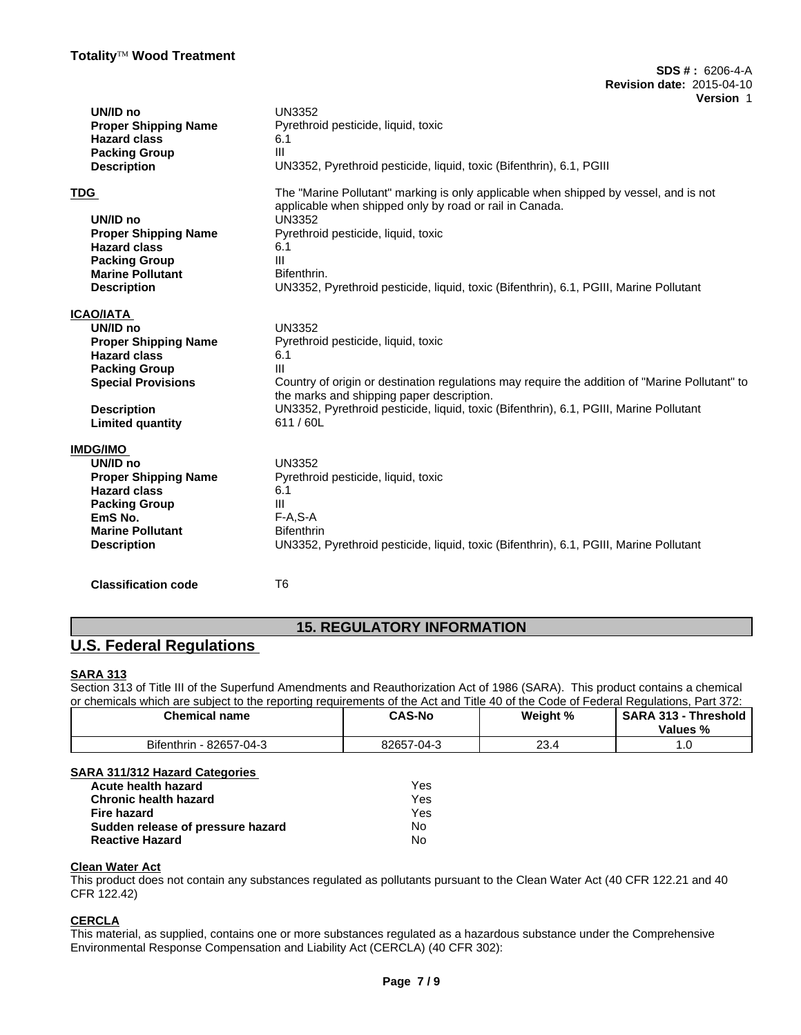| UN/ID no                    | <b>UN3352</b>                                                                                                                               |
|-----------------------------|---------------------------------------------------------------------------------------------------------------------------------------------|
| <b>Proper Shipping Name</b> | Pyrethroid pesticide, liquid, toxic                                                                                                         |
| <b>Hazard class</b>         | 6.1                                                                                                                                         |
| <b>Packing Group</b>        | III                                                                                                                                         |
| <b>Description</b>          | UN3352, Pyrethroid pesticide, liquid, toxic (Bifenthrin), 6.1, PGIII                                                                        |
| <b>TDG</b>                  | The "Marine Pollutant" marking is only applicable when shipped by vessel, and is not                                                        |
|                             | applicable when shipped only by road or rail in Canada.                                                                                     |
| UN/ID no                    | <b>UN3352</b>                                                                                                                               |
| <b>Proper Shipping Name</b> | Pyrethroid pesticide, liquid, toxic                                                                                                         |
| <b>Hazard class</b>         | 6.1                                                                                                                                         |
| <b>Packing Group</b>        | III                                                                                                                                         |
| <b>Marine Pollutant</b>     | Bifenthrin.                                                                                                                                 |
| <b>Description</b>          | UN3352, Pyrethroid pesticide, liquid, toxic (Bifenthrin), 6.1, PGIII, Marine Pollutant                                                      |
| <b>ICAO/IATA</b>            |                                                                                                                                             |
| UN/ID no                    | <b>UN3352</b>                                                                                                                               |
| <b>Proper Shipping Name</b> | Pyrethroid pesticide, liquid, toxic                                                                                                         |
| <b>Hazard class</b>         | 6.1                                                                                                                                         |
| <b>Packing Group</b>        | III                                                                                                                                         |
| <b>Special Provisions</b>   | Country of origin or destination regulations may require the addition of "Marine Pollutant" to<br>the marks and shipping paper description. |
| <b>Description</b>          | UN3352, Pyrethroid pesticide, liquid, toxic (Bifenthrin), 6.1, PGIII, Marine Pollutant                                                      |
| <b>Limited quantity</b>     | 611/60L                                                                                                                                     |
| <b>IMDG/IMO</b>             |                                                                                                                                             |
| UN/ID no                    | <b>UN3352</b>                                                                                                                               |
| <b>Proper Shipping Name</b> | Pyrethroid pesticide, liquid, toxic                                                                                                         |
| <b>Hazard class</b>         | 6.1                                                                                                                                         |
| <b>Packing Group</b>        | Ш                                                                                                                                           |
| EmS No.                     | $F-A, S-A$                                                                                                                                  |
| <b>Marine Pollutant</b>     | <b>Bifenthrin</b>                                                                                                                           |
| <b>Description</b>          | UN3352, Pyrethroid pesticide, liquid, toxic (Bifenthrin), 6.1, PGIII, Marine Pollutant                                                      |
| <b>Classification code</b>  | T <sub>6</sub>                                                                                                                              |
|                             |                                                                                                                                             |

# **15. REGULATORY INFORMATION**

# **U.S. Federal Regulations**

# **SARA 313**

Section 313 of Title III of the Superfund Amendments and Reauthorization Act of 1986 (SARA). This product contains a chemical or chemicals which are subject to the reporting requirements of the Act and Title 40 of the Code of Federal Regulations, Part 372:

| <b>Chemical name</b>                           | <b>CAS-No</b><br>____ | Weight %   | <b>SARA 313</b><br><b>Threshold</b><br>. ت ۱ ت<br>Values % |
|------------------------------------------------|-----------------------|------------|------------------------------------------------------------|
| $\sim$<br>82657<br>7-04-3<br><b>Bifenthrin</b> | 82657-04-             | ົດ<br>20.4 |                                                            |

# **SARA 311/312 Hazard Categories**

| Acute health hazard               | Yes |
|-----------------------------------|-----|
| <b>Chronic health hazard</b>      | Yes |
| Fire hazard                       | Yes |
| Sudden release of pressure hazard | No  |
| <b>Reactive Hazard</b>            | No  |

## **Clean Water Act**

This product does not contain any substances regulated as pollutants pursuant to the Clean Water Act (40 CFR 122.21 and 40 CFR 122.42)

## **CERCLA**

This material, as supplied, contains one or more substances regulated as a hazardous substance under the Comprehensive Environmental Response Compensation and Liability Act (CERCLA) (40 CFR 302):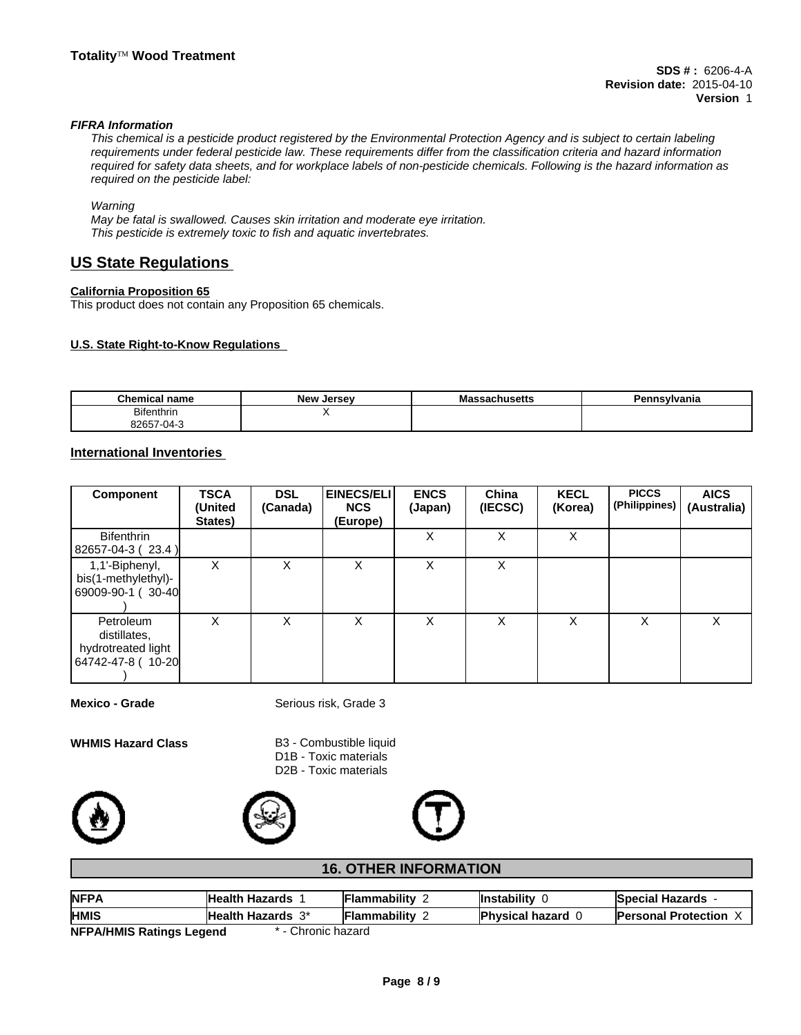## *FIFRA Information*

*This chemical is a pesticide product registered by the Environmental Protection Agency and is subject to certain labeling requirements under federal pesticide law. These requirements differ from the classification criteria and hazard information required for safety data sheets, and for workplace labels of non-pesticide chemicals. Following is the hazard information as required on the pesticide label:*

#### *Warning*

*May be fatal is swallowed. Causes skin irritation and moderate eye irritation. This pesticide is extremely toxic to fish and aquatic invertebrates.*

# **US State Regulations**

## **California Proposition 65**

This product does not contain any Proposition 65 chemicals.

## **U.S. State Right-to-Know Regulations**

| <b>Chemical name</b>             | $\sim$ $\sim$<br><b>New</b><br>Jersev | cear<br>adssachuseus | Pennsvlvania |
|----------------------------------|---------------------------------------|----------------------|--------------|
| <b>Bifenthrin</b>                |                                       |                      |              |
| 000F7<br>.3265.<br>J4-<br>$\sim$ |                                       |                      |              |

## **International Inventories**

| Component                                                            | <b>TSCA</b><br>(United<br>States) | <b>DSL</b><br>(Canada) | EINECS/ELI<br><b>NCS</b><br>(Europe) | <b>ENCS</b><br>(Japan) | China<br>(IECSC) | <b>KECL</b><br>(Korea) | <b>PICCS</b><br>(Philippines) | <b>AICS</b><br>(Australia) |
|----------------------------------------------------------------------|-----------------------------------|------------------------|--------------------------------------|------------------------|------------------|------------------------|-------------------------------|----------------------------|
| <b>Bifenthrin</b><br>$ 82657-04-3(23.4) $                            |                                   |                        |                                      | х                      | X                | Χ                      |                               |                            |
| 1,1'-Biphenyl,<br>bis(1-methylethyl)-<br>69009-90-1 (30-40           | x                                 | X                      | Χ                                    | X                      | X                |                        |                               |                            |
| Petroleum<br>distillates,<br>hydrotreated light<br>64742-47-8 (10-20 | X                                 | X                      | Χ                                    | X                      | X                | X                      | X                             | X                          |

**Mexico - Grade** Serious risk, Grade 3

**WHMIS Hazard Class** B3 - Combustible liquid D1B - Toxic materials D2B - Toxic materials







## **16. OTHER INFORMATION**

| <b>NFPA</b>                     | <b>Health Hazards</b>    | <b>Flammability</b> | <b>Instability</b>       | <b>Special Hazards</b>     |
|---------------------------------|--------------------------|---------------------|--------------------------|----------------------------|
| <b>HMIS</b>                     | <b>Health Hazards</b> 3* | <b>Flammability</b> | <b>Physical hazard 0</b> | <b>Personal Protection</b> |
| <b>NFPA/HMIS Ratings Legend</b> | Chronic hazard           |                     |                          |                            |

**NFPA/HMIS Ratings Legend for a fact of the Chronic hazard**